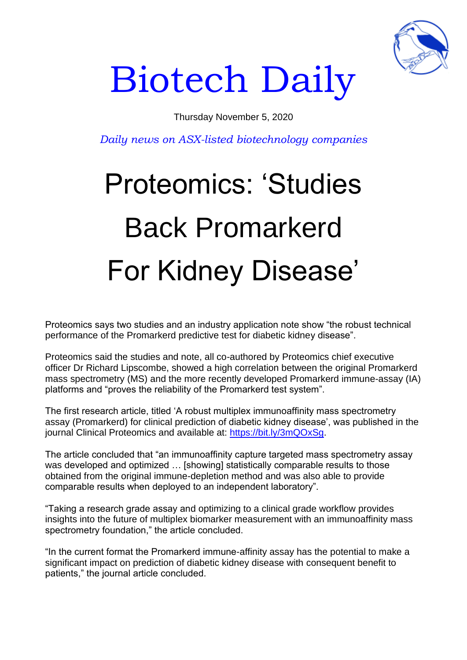

## Biotech Daily

## Thursday November 5, 2020

*Daily news on ASX-listed biotechnology companies*

## Proteomics: 'Studies Back Promarkerd For Kidney Disease'

Proteomics says two studies and an industry application note show "the robust technical performance of the Promarkerd predictive test for diabetic kidney disease".

Proteomics said the studies and note, all co-authored by Proteomics chief executive officer Dr Richard Lipscombe, showed a high correlation between the original Promarkerd mass spectrometry (MS) and the more recently developed Promarkerd immune-assay (IA) platforms and "proves the reliability of the Promarkerd test system".

The first research article, titled 'A robust multiplex immunoaffinity mass spectrometry assay (Promarkerd) for clinical prediction of diabetic kidney disease', was published in the journal Clinical Proteomics and available at: [https://bit.ly/3mQOxSg.](https://bit.ly/3mQOxSg)

The article concluded that "an immunoaffinity capture targeted mass spectrometry assay was developed and optimized ... [showing] statistically comparable results to those obtained from the original immune-depletion method and was also able to provide comparable results when deployed to an independent laboratory".

"Taking a research grade assay and optimizing to a clinical grade workflow provides insights into the future of multiplex biomarker measurement with an immunoaffinity mass spectrometry foundation," the article concluded.

"In the current format the Promarkerd immune-affinity assay has the potential to make a significant impact on prediction of diabetic kidney disease with consequent benefit to patients," the journal article concluded.